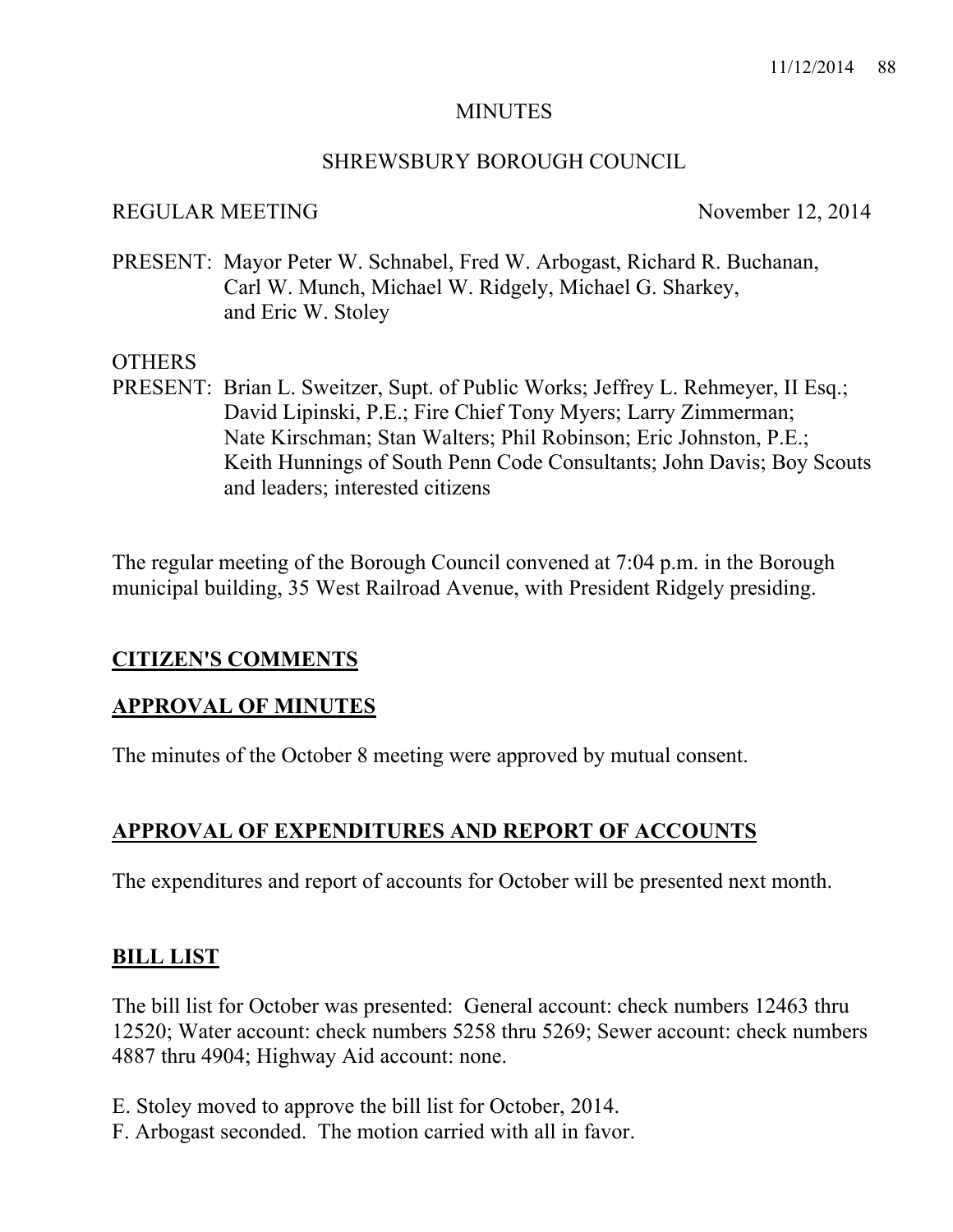#### **MINUTES**

#### SHREWSBURY BOROUGH COUNCIL

#### REGULAR MEETING November 12, 2014

PRESENT: Mayor Peter W. Schnabel, Fred W. Arbogast, Richard R. Buchanan, Carl W. Munch, Michael W. Ridgely, Michael G. Sharkey, and Eric W. Stoley

#### OTHERS

PRESENT: Brian L. Sweitzer, Supt. of Public Works; Jeffrey L. Rehmeyer, II Esq.; David Lipinski, P.E.; Fire Chief Tony Myers; Larry Zimmerman; Nate Kirschman; Stan Walters; Phil Robinson; Eric Johnston, P.E.; Keith Hunnings of South Penn Code Consultants; John Davis; Boy Scouts and leaders; interested citizens

The regular meeting of the Borough Council convened at 7:04 p.m. in the Borough municipal building, 35 West Railroad Avenue, with President Ridgely presiding.

#### **CITIZEN'S COMMENTS**

#### **APPROVAL OF MINUTES**

The minutes of the October 8 meeting were approved by mutual consent.

### **APPROVAL OF EXPENDITURES AND REPORT OF ACCOUNTS**

The expenditures and report of accounts for October will be presented next month.

#### **BILL LIST**

The bill list for October was presented: General account: check numbers 12463 thru 12520; Water account: check numbers 5258 thru 5269; Sewer account: check numbers 4887 thru 4904; Highway Aid account: none.

- E. Stoley moved to approve the bill list for October, 2014.
- F. Arbogast seconded. The motion carried with all in favor.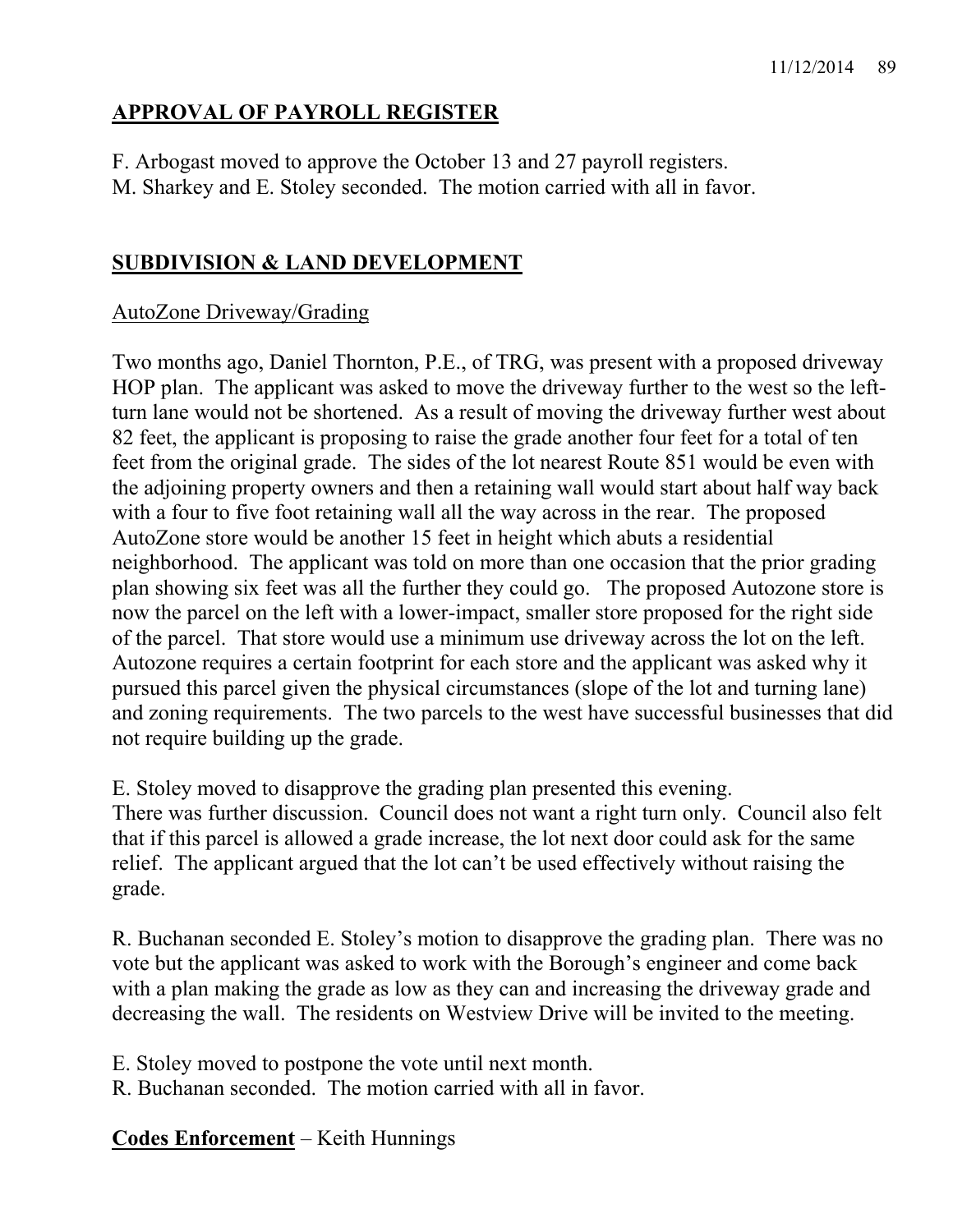# **APPROVAL OF PAYROLL REGISTER**

F. Arbogast moved to approve the October 13 and 27 payroll registers. M. Sharkey and E. Stoley seconded. The motion carried with all in favor.

# **SUBDIVISION & LAND DEVELOPMENT**

## AutoZone Driveway/Grading

Two months ago, Daniel Thornton, P.E., of TRG, was present with a proposed driveway HOP plan. The applicant was asked to move the driveway further to the west so the leftturn lane would not be shortened. As a result of moving the driveway further west about 82 feet, the applicant is proposing to raise the grade another four feet for a total of ten feet from the original grade. The sides of the lot nearest Route 851 would be even with the adjoining property owners and then a retaining wall would start about half way back with a four to five foot retaining wall all the way across in the rear. The proposed AutoZone store would be another 15 feet in height which abuts a residential neighborhood. The applicant was told on more than one occasion that the prior grading plan showing six feet was all the further they could go. The proposed Autozone store is now the parcel on the left with a lower-impact, smaller store proposed for the right side of the parcel. That store would use a minimum use driveway across the lot on the left. Autozone requires a certain footprint for each store and the applicant was asked why it pursued this parcel given the physical circumstances (slope of the lot and turning lane) and zoning requirements. The two parcels to the west have successful businesses that did not require building up the grade.

E. Stoley moved to disapprove the grading plan presented this evening. There was further discussion. Council does not want a right turn only. Council also felt that if this parcel is allowed a grade increase, the lot next door could ask for the same relief. The applicant argued that the lot can't be used effectively without raising the grade.

R. Buchanan seconded E. Stoley's motion to disapprove the grading plan. There was no vote but the applicant was asked to work with the Borough's engineer and come back with a plan making the grade as low as they can and increasing the driveway grade and decreasing the wall. The residents on Westview Drive will be invited to the meeting.

E. Stoley moved to postpone the vote until next month.

R. Buchanan seconded. The motion carried with all in favor.

**Codes Enforcement** – Keith Hunnings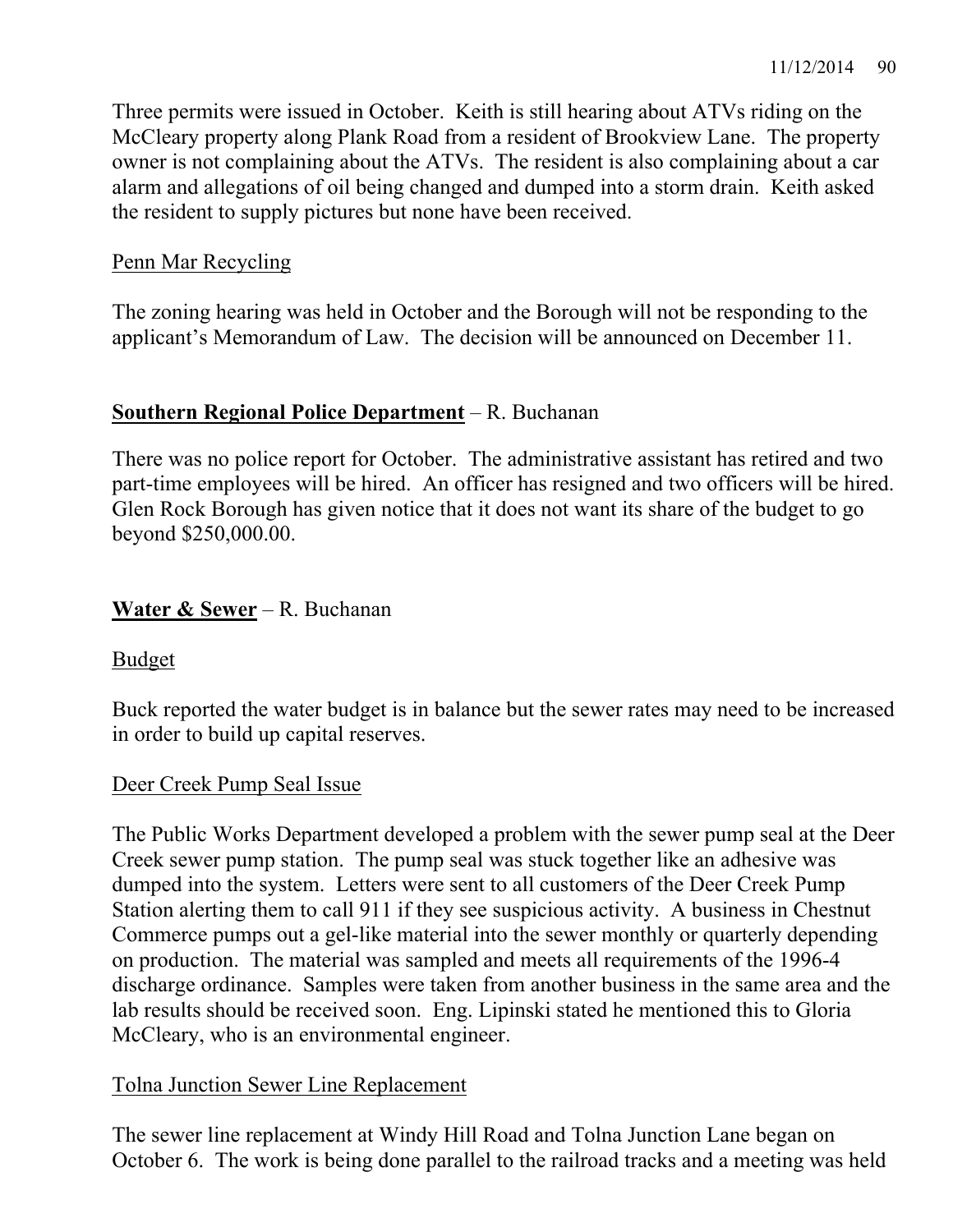Three permits were issued in October. Keith is still hearing about ATVs riding on the McCleary property along Plank Road from a resident of Brookview Lane. The property owner is not complaining about the ATVs. The resident is also complaining about a car alarm and allegations of oil being changed and dumped into a storm drain. Keith asked the resident to supply pictures but none have been received.

## Penn Mar Recycling

The zoning hearing was held in October and the Borough will not be responding to the applicant's Memorandum of Law. The decision will be announced on December 11.

## **Southern Regional Police Department** – R. Buchanan

There was no police report for October. The administrative assistant has retired and two part-time employees will be hired. An officer has resigned and two officers will be hired. Glen Rock Borough has given notice that it does not want its share of the budget to go beyond \$250,000.00.

# **Water & Sewer** – R. Buchanan

### Budget

Buck reported the water budget is in balance but the sewer rates may need to be increased in order to build up capital reserves.

### Deer Creek Pump Seal Issue

The Public Works Department developed a problem with the sewer pump seal at the Deer Creek sewer pump station. The pump seal was stuck together like an adhesive was dumped into the system. Letters were sent to all customers of the Deer Creek Pump Station alerting them to call 911 if they see suspicious activity. A business in Chestnut Commerce pumps out a gel-like material into the sewer monthly or quarterly depending on production. The material was sampled and meets all requirements of the 1996-4 discharge ordinance. Samples were taken from another business in the same area and the lab results should be received soon. Eng. Lipinski stated he mentioned this to Gloria McCleary, who is an environmental engineer.

### Tolna Junction Sewer Line Replacement

The sewer line replacement at Windy Hill Road and Tolna Junction Lane began on October 6. The work is being done parallel to the railroad tracks and a meeting was held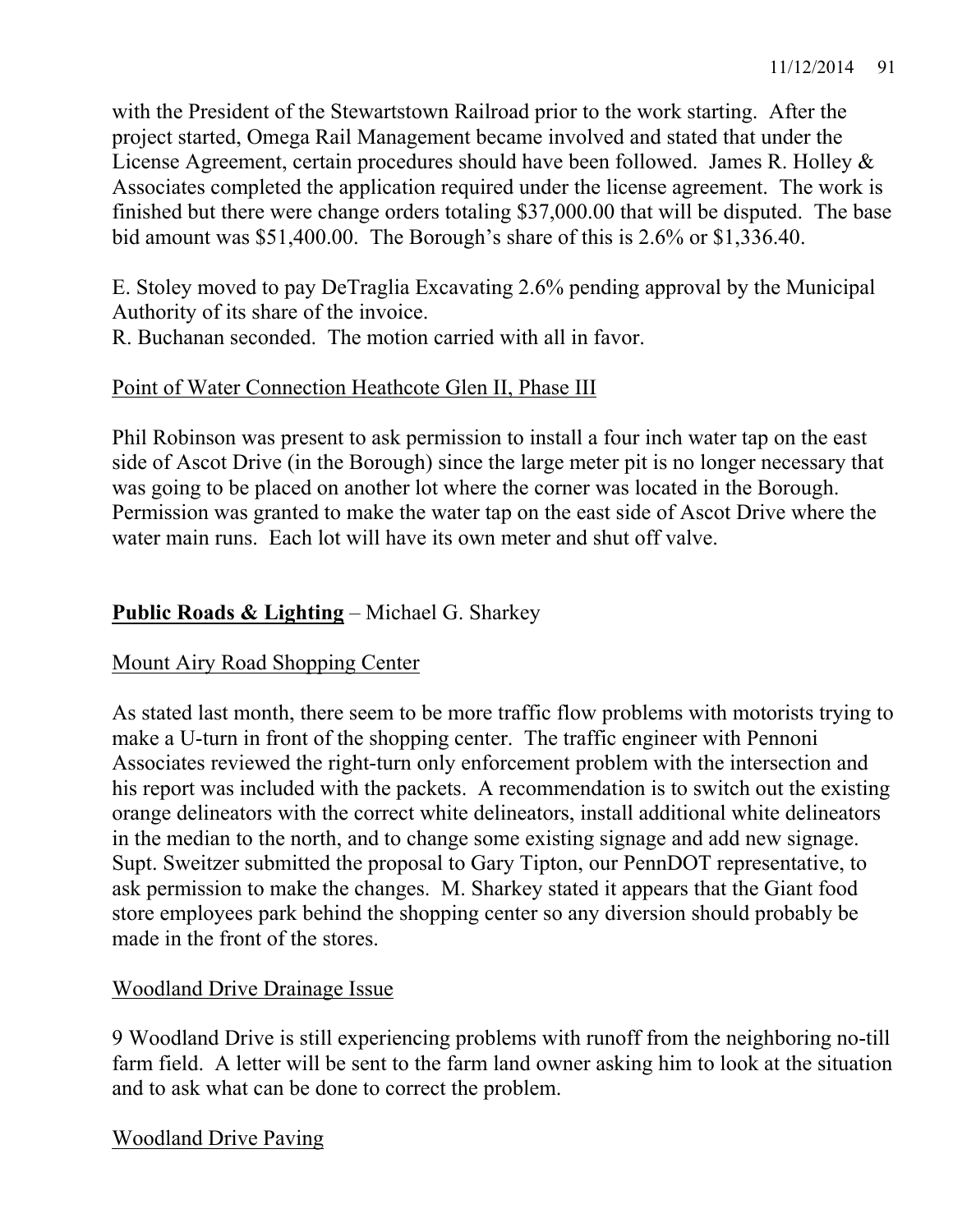with the President of the Stewartstown Railroad prior to the work starting. After the project started, Omega Rail Management became involved and stated that under the License Agreement, certain procedures should have been followed. James R. Holley & Associates completed the application required under the license agreement. The work is finished but there were change orders totaling \$37,000.00 that will be disputed. The base bid amount was \$51,400.00. The Borough's share of this is 2.6% or \$1,336.40.

E. Stoley moved to pay DeTraglia Excavating 2.6% pending approval by the Municipal Authority of its share of the invoice.

R. Buchanan seconded. The motion carried with all in favor.

## Point of Water Connection Heathcote Glen II, Phase III

Phil Robinson was present to ask permission to install a four inch water tap on the east side of Ascot Drive (in the Borough) since the large meter pit is no longer necessary that was going to be placed on another lot where the corner was located in the Borough. Permission was granted to make the water tap on the east side of Ascot Drive where the water main runs. Each lot will have its own meter and shut off valve.

# **Public Roads & Lighting** – Michael G. Sharkey

# Mount Airy Road Shopping Center

As stated last month, there seem to be more traffic flow problems with motorists trying to make a U-turn in front of the shopping center. The traffic engineer with Pennoni Associates reviewed the right-turn only enforcement problem with the intersection and his report was included with the packets. A recommendation is to switch out the existing orange delineators with the correct white delineators, install additional white delineators in the median to the north, and to change some existing signage and add new signage. Supt. Sweitzer submitted the proposal to Gary Tipton, our PennDOT representative, to ask permission to make the changes. M. Sharkey stated it appears that the Giant food store employees park behind the shopping center so any diversion should probably be made in the front of the stores.

### Woodland Drive Drainage Issue

9 Woodland Drive is still experiencing problems with runoff from the neighboring no-till farm field. A letter will be sent to the farm land owner asking him to look at the situation and to ask what can be done to correct the problem.

Woodland Drive Paving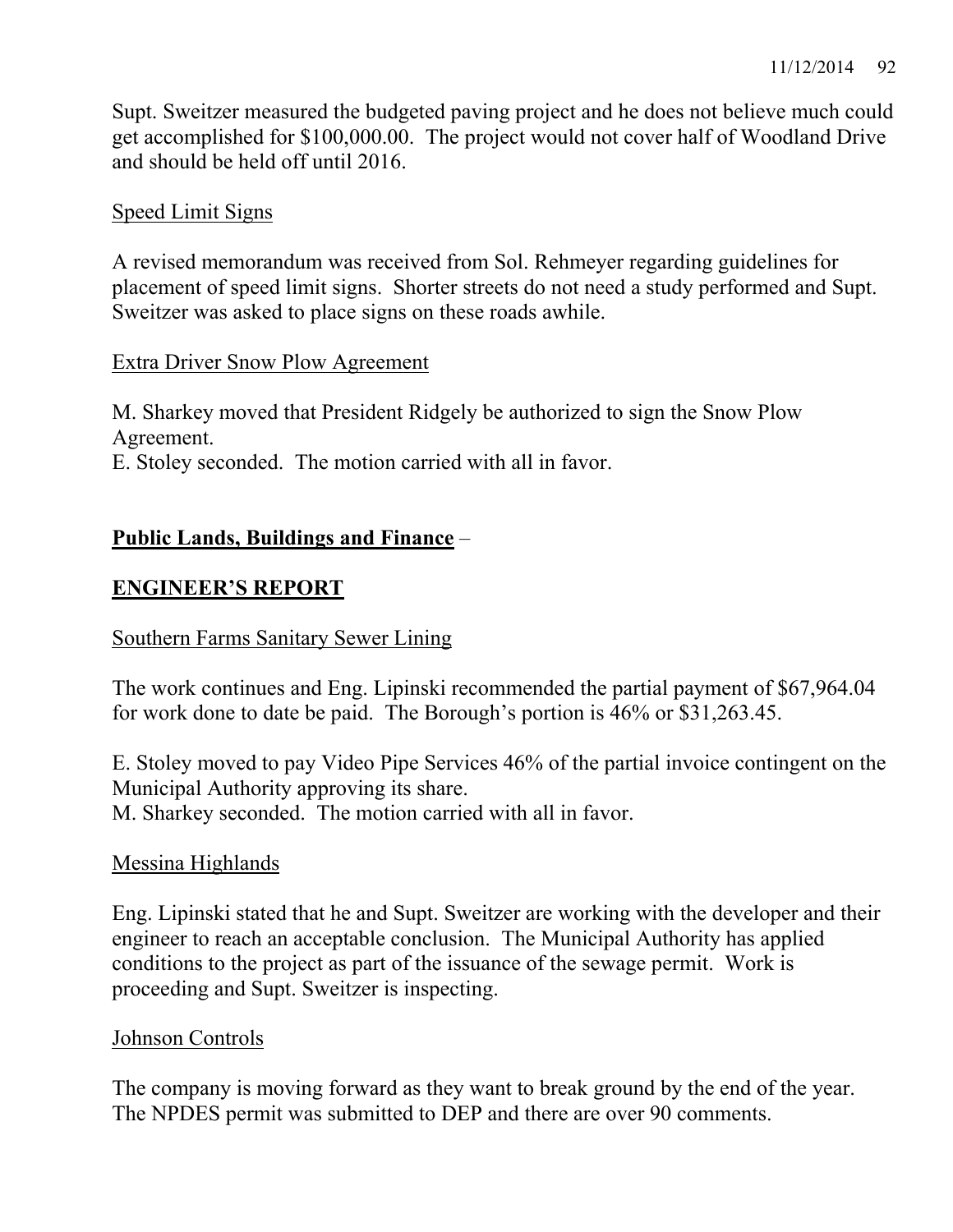Supt. Sweitzer measured the budgeted paving project and he does not believe much could get accomplished for \$100,000.00. The project would not cover half of Woodland Drive and should be held off until 2016.

## Speed Limit Signs

A revised memorandum was received from Sol. Rehmeyer regarding guidelines for placement of speed limit signs. Shorter streets do not need a study performed and Supt. Sweitzer was asked to place signs on these roads awhile.

## Extra Driver Snow Plow Agreement

M. Sharkey moved that President Ridgely be authorized to sign the Snow Plow Agreement.

E. Stoley seconded. The motion carried with all in favor.

# **Public Lands, Buildings and Finance** –

# **ENGINEER'S REPORT**

### Southern Farms Sanitary Sewer Lining

The work continues and Eng. Lipinski recommended the partial payment of \$67,964.04 for work done to date be paid. The Borough's portion is 46% or \$31,263.45.

E. Stoley moved to pay Video Pipe Services 46% of the partial invoice contingent on the Municipal Authority approving its share.

M. Sharkey seconded. The motion carried with all in favor.

# Messina Highlands

Eng. Lipinski stated that he and Supt. Sweitzer are working with the developer and their engineer to reach an acceptable conclusion. The Municipal Authority has applied conditions to the project as part of the issuance of the sewage permit. Work is proceeding and Supt. Sweitzer is inspecting.

### Johnson Controls

The company is moving forward as they want to break ground by the end of the year. The NPDES permit was submitted to DEP and there are over 90 comments.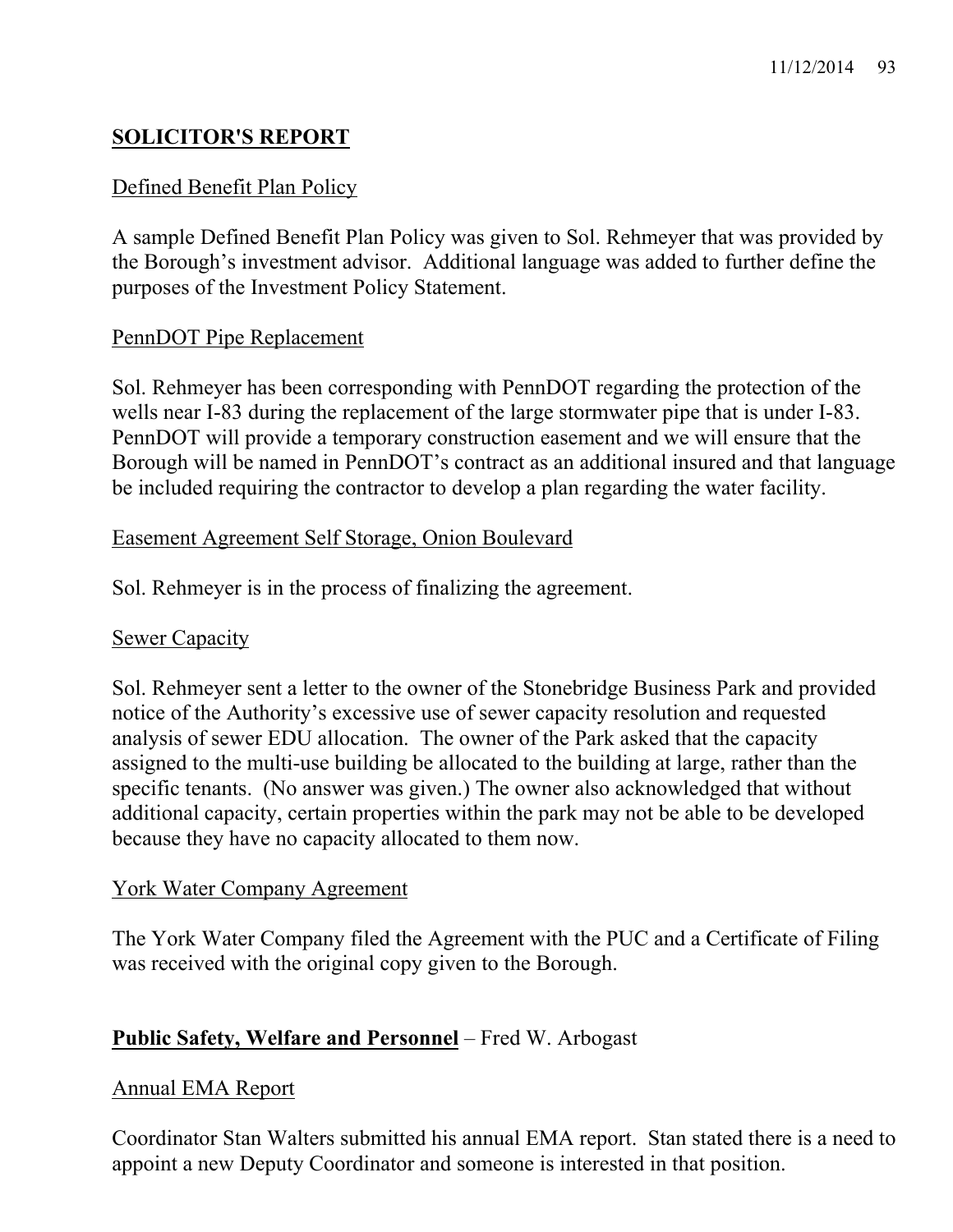# **SOLICITOR'S REPORT**

## Defined Benefit Plan Policy

A sample Defined Benefit Plan Policy was given to Sol. Rehmeyer that was provided by the Borough's investment advisor. Additional language was added to further define the purposes of the Investment Policy Statement.

### PennDOT Pipe Replacement

Sol. Rehmeyer has been corresponding with PennDOT regarding the protection of the wells near I-83 during the replacement of the large stormwater pipe that is under I-83. PennDOT will provide a temporary construction easement and we will ensure that the Borough will be named in PennDOT's contract as an additional insured and that language be included requiring the contractor to develop a plan regarding the water facility.

#### Easement Agreement Self Storage, Onion Boulevard

Sol. Rehmeyer is in the process of finalizing the agreement.

#### Sewer Capacity

Sol. Rehmeyer sent a letter to the owner of the Stonebridge Business Park and provided notice of the Authority's excessive use of sewer capacity resolution and requested analysis of sewer EDU allocation. The owner of the Park asked that the capacity assigned to the multi-use building be allocated to the building at large, rather than the specific tenants. (No answer was given.) The owner also acknowledged that without additional capacity, certain properties within the park may not be able to be developed because they have no capacity allocated to them now.

#### York Water Company Agreement

The York Water Company filed the Agreement with the PUC and a Certificate of Filing was received with the original copy given to the Borough.

### **Public Safety, Welfare and Personnel** – Fred W. Arbogast

#### Annual EMA Report

Coordinator Stan Walters submitted his annual EMA report. Stan stated there is a need to appoint a new Deputy Coordinator and someone is interested in that position.